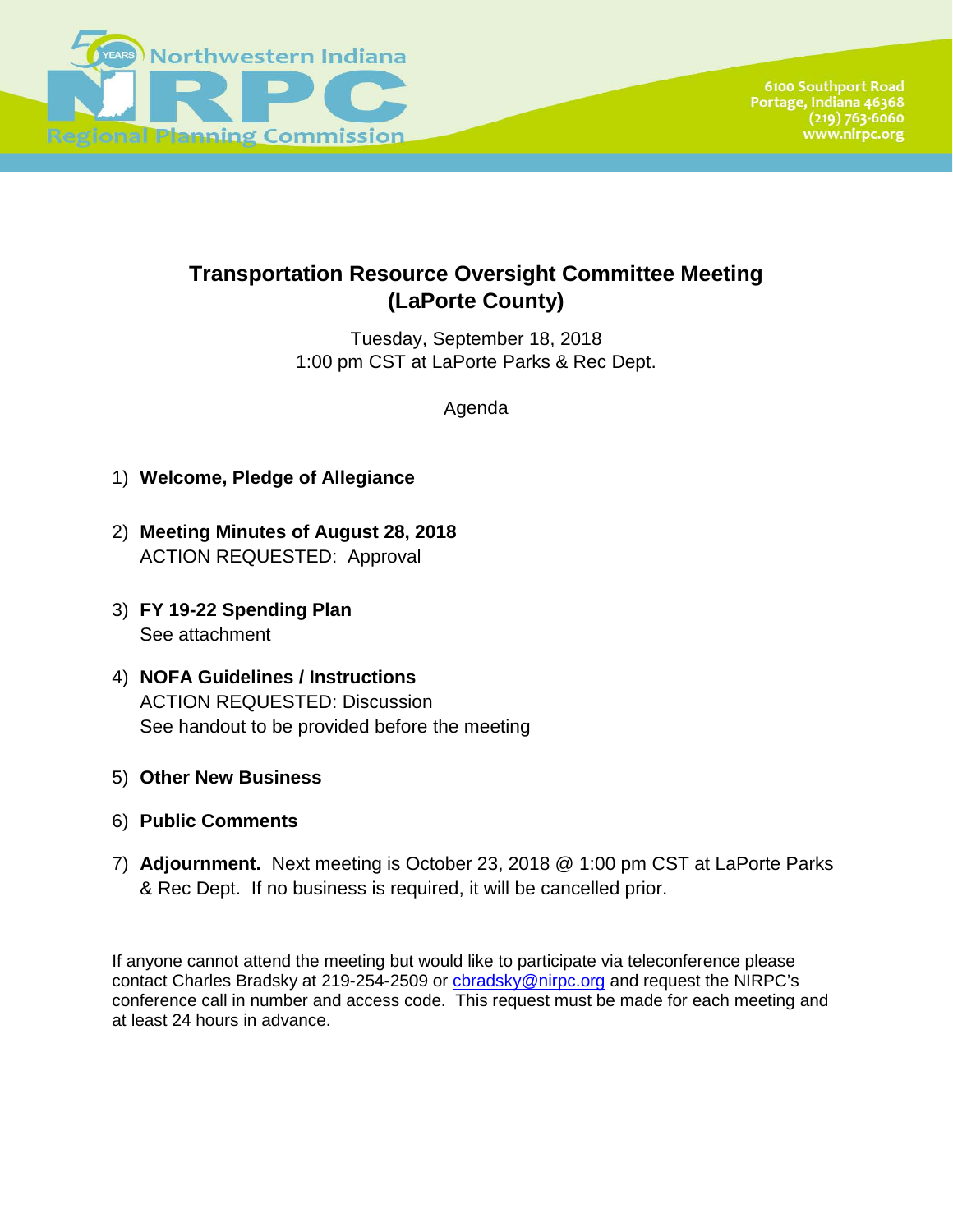

## **Transportation Resource Oversight Committee Meeting (LaPorte County)**

Tuesday, September 18, 2018 1:00 pm CST at LaPorte Parks & Rec Dept.

Agenda

- 1) **Welcome, Pledge of Allegiance**
- 2) **Meeting Minutes of August 28, 2018** ACTION REQUESTED: Approval
- 3) **FY 19-22 Spending Plan** See attachment
- 4) **NOFA Guidelines / Instructions** ACTION REQUESTED: Discussion See handout to be provided before the meeting
- 5) **Other New Business**
- 6) **Public Comments**
- 7) **Adjournment.** Next meeting is October 23, 2018 @ 1:00 pm CST at LaPorte Parks & Rec Dept. If no business is required, it will be cancelled prior.

If anyone cannot attend the meeting but would like to participate via teleconference please contact Charles Bradsky at 219-254-2509 or [cbradsky@nirpc.org](mailto:cbradsky@nirpc.org) and request the NIRPC's conference call in number and access code. This request must be made for each meeting and at least 24 hours in advance.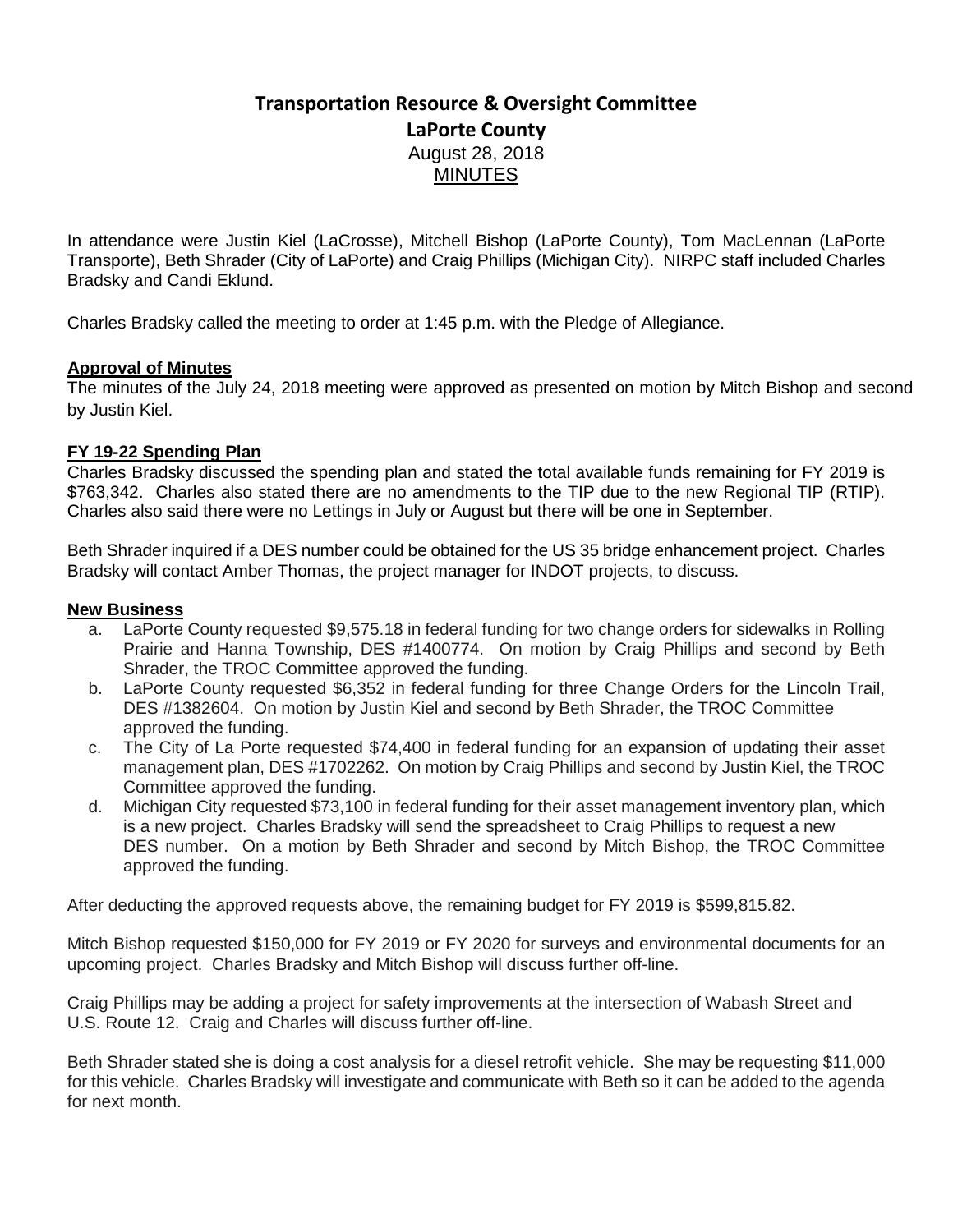## **Transportation Resource & Oversight Committee LaPorte County** August 28, 2018 **MINUTES**

In attendance were Justin Kiel (LaCrosse), Mitchell Bishop (LaPorte County), Tom MacLennan (LaPorte Transporte), Beth Shrader (City of LaPorte) and Craig Phillips (Michigan City). NIRPC staff included Charles Bradsky and Candi Eklund.

Charles Bradsky called the meeting to order at 1:45 p.m. with the Pledge of Allegiance.

## **Approval of Minutes**

The minutes of the July 24, 2018 meeting were approved as presented on motion by Mitch Bishop and second by Justin Kiel.

## **FY 19-22 Spending Plan**

Charles Bradsky discussed the spending plan and stated the total available funds remaining for FY 2019 is \$763,342. Charles also stated there are no amendments to the TIP due to the new Regional TIP (RTIP). Charles also said there were no Lettings in July or August but there will be one in September.

Beth Shrader inquired if a DES number could be obtained for the US 35 bridge enhancement project. Charles Bradsky will contact Amber Thomas, the project manager for INDOT projects, to discuss.

### **New Business**

- a. LaPorte County requested \$9,575.18 in federal funding for two change orders for sidewalks in Rolling Prairie and Hanna Township, DES #1400774. On motion by Craig Phillips and second by Beth Shrader, the TROC Committee approved the funding.
- b. LaPorte County requested \$6,352 in federal funding for three Change Orders for the Lincoln Trail, DES #1382604. On motion by Justin Kiel and second by Beth Shrader, the TROC Committee approved the funding.
- c. The City of La Porte requested \$74,400 in federal funding for an expansion of updating their asset management plan, DES #1702262. On motion by Craig Phillips and second by Justin Kiel, the TROC Committee approved the funding.
- d. Michigan City requested \$73,100 in federal funding for their asset management inventory plan, which is a new project. Charles Bradsky will send the spreadsheet to Craig Phillips to request a new DES number. On a motion by Beth Shrader and second by Mitch Bishop, the TROC Committee approved the funding.

After deducting the approved requests above, the remaining budget for FY 2019 is \$599,815.82.

Mitch Bishop requested \$150,000 for FY 2019 or FY 2020 for surveys and environmental documents for an upcoming project. Charles Bradsky and Mitch Bishop will discuss further off-line.

Craig Phillips may be adding a project for safety improvements at the intersection of Wabash Street and U.S. Route 12. Craig and Charles will discuss further off-line.

Beth Shrader stated she is doing a cost analysis for a diesel retrofit vehicle. She may be requesting \$11,000 for this vehicle. Charles Bradsky will investigate and communicate with Beth so it can be added to the agenda for next month.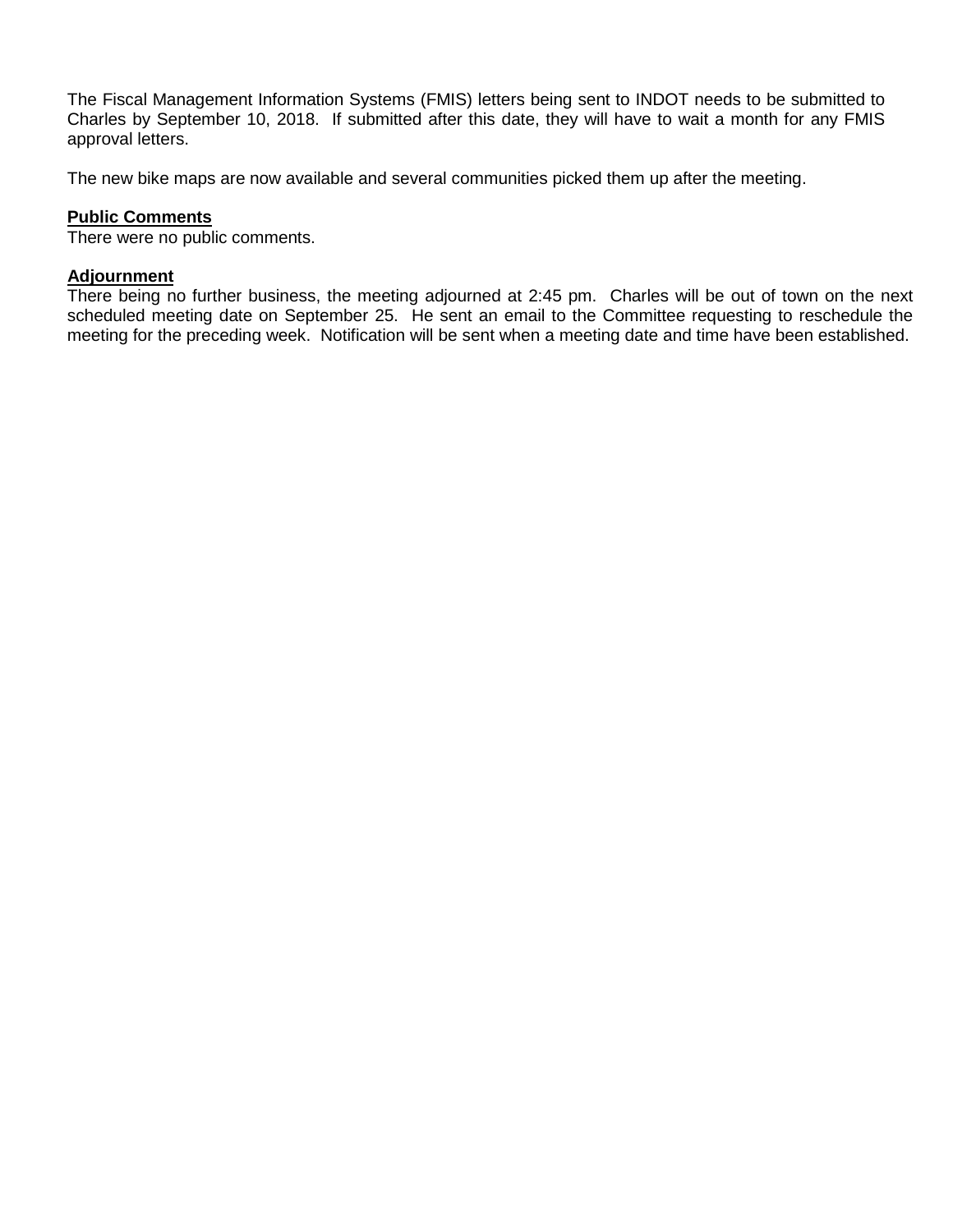The Fiscal Management Information Systems (FMIS) letters being sent to INDOT needs to be submitted to Charles by September 10, 2018. If submitted after this date, they will have to wait a month for any FMIS approval letters.

The new bike maps are now available and several communities picked them up after the meeting.

## **Public Comments**

There were no public comments.

### **Adjournment**

There being no further business, the meeting adjourned at 2:45 pm. Charles will be out of town on the next scheduled meeting date on September 25. He sent an email to the Committee requesting to reschedule the meeting for the preceding week. Notification will be sent when a meeting date and time have been established.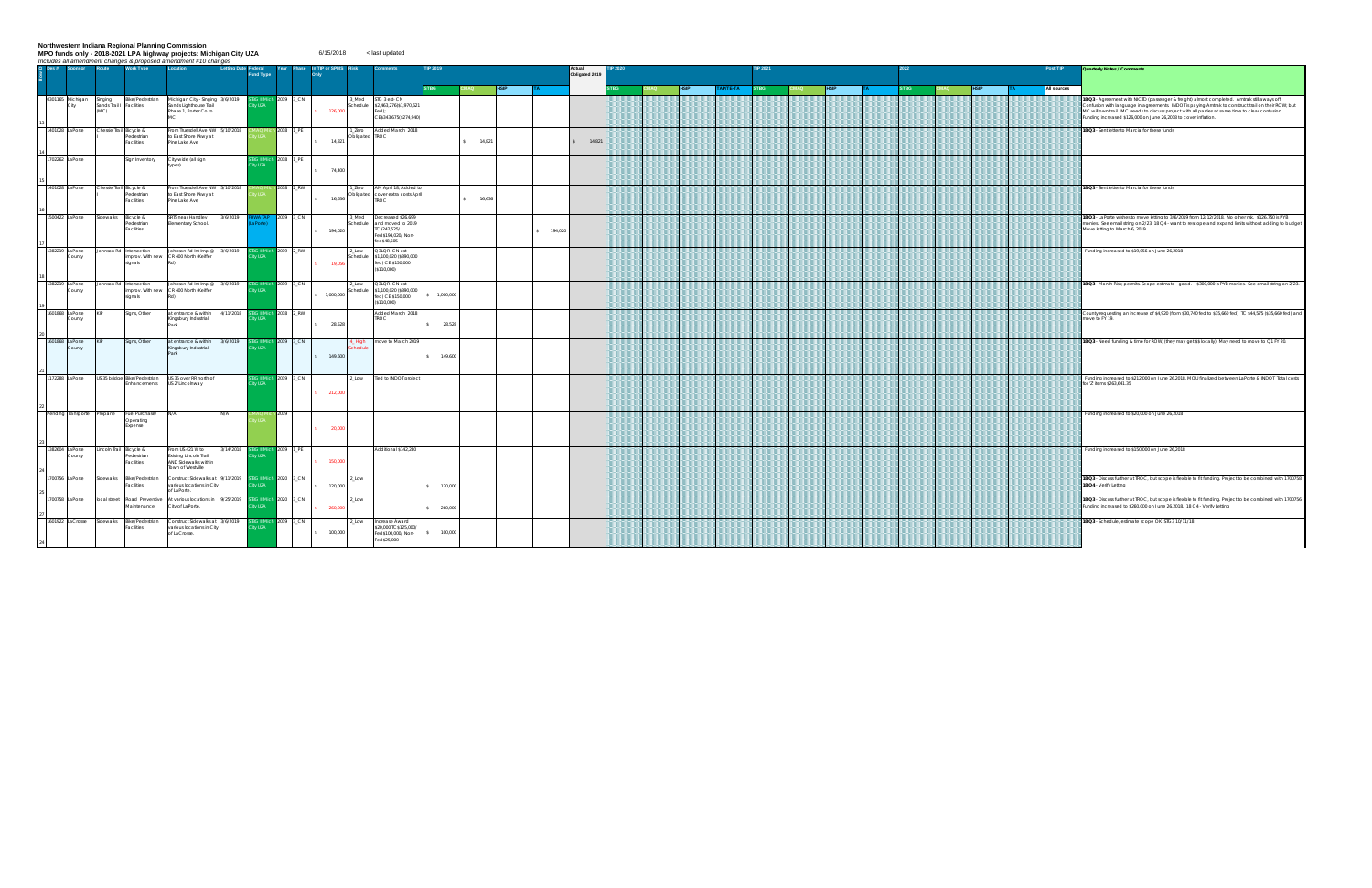Northwestern Indiana Regional Planning Commission<br>MPO funds only - 2018-2021 LPA highway projects: Michigan City UZA<br>*Includes all amendment changes & proposed amendment #10 changes*  $6/15/2018$  < last updated

| $\supseteq$ Des # Sponsor  | Route                                       | <b>Work Type</b>                                    | includes all amendment changes & proposed amendment #10 changes<br>Location                          | <b>Letting Date Federal</b><br>und Type | Year                        | In TIP or SPM:        |                        |                                                                                          |           |           |            | Actual<br>Obligated 2019 |  |         |             |  |  |  | Post-TIP    | Quarterly Notes / Comments                                                                                                                                                                                                                                                                                                                                                |
|----------------------------|---------------------------------------------|-----------------------------------------------------|------------------------------------------------------------------------------------------------------|-----------------------------------------|-----------------------------|-----------------------|------------------------|------------------------------------------------------------------------------------------|-----------|-----------|------------|--------------------------|--|---------|-------------|--|--|--|-------------|---------------------------------------------------------------------------------------------------------------------------------------------------------------------------------------------------------------------------------------------------------------------------------------------------------------------------------------------------------------------------|
|                            |                                             |                                                     |                                                                                                      |                                         |                             |                       |                        |                                                                                          |           |           |            |                          |  | P/TE-TA | <b>STBG</b> |  |  |  | All sources |                                                                                                                                                                                                                                                                                                                                                                           |
| 0301165 Michigan<br>City   | Singing<br>Sands Trail   Facilities<br>(MC) | <b>Bike/Pedestrian</b>                              | Michigan City - Singing 3/6/2019<br>Sands Lighthouse Trail<br>Phase 1, Porter Co to                  | ty UZA                                  | 2019 3 CN                   | 126,000               | Med<br>chedule         | STG 3 est- CN<br>\$2,463,276(\$1,970,621<br>ed).<br>CE\$343,675(\$274,940)               |           |           |            |                          |  |         |             |  |  |  |             | 18 Q3 - Agreement with NICTD (passenger & freight) almost completed. Amtrak still aways off.<br>Confusion with language in agreements. INDOT is paying Amtrak to construct trail on their ROW; but<br>MC will own trail. MC needs to discuss project with all parties at same time to clear confusion.<br>Funding increased \$126,000 on June 26,2018 to cover inflation. |
| 1401028 LaPorte            |                                             | Chessie Trail Bicycle &<br>Pedestrian<br>Facilities | From Truesdell Ave NW 5/10/2018<br>to East Shore Pkwy at<br>Pine Lake Ave                            |                                         | IAQ Mich 2018 1_PE          | 14,821<br>$\sim$      | Zero<br>Obligated TROC | Added March 2018                                                                         |           | \$74,821  |            | 14,821                   |  |         |             |  |  |  |             | 18 Q3 - Sent letter to Marcia for these funds                                                                                                                                                                                                                                                                                                                             |
| 1702262 LaPorte            |                                             | Sign Inventory                                      | City-wide (all sign<br>(zeav)                                                                        | 3 II Mich<br>tv UZA                     | 2018 1_PE                   | 74,400<br>S           |                        |                                                                                          |           |           |            |                          |  |         |             |  |  |  |             |                                                                                                                                                                                                                                                                                                                                                                           |
| 1401028 LaPorte            |                                             | Chessie Trail Bicycle &<br>edestrian<br>Facilities  | From Truesdell Ave NW 5/10/2018<br>to East Shore Pkwy at<br>Pine Lake Ave                            |                                         | h 2018 2_RW                 | $\sim$<br>16,636      | Zero<br>Obligated      | M April 18; Added t<br>cover extra costs April<br>TROC                                   |           | \$ 16,636 |            |                          |  |         |             |  |  |  |             | 18 Q3 - Sent letter to Marcia for these funds                                                                                                                                                                                                                                                                                                                             |
| 1500422 LaPorte            | Sidewalks                                   | Bicycle &<br>Pedestrian<br>Facilities               | SRTS near Handley<br>3/6/2019<br>Elementary School.                                                  | WA TAF                                  | 2019 3_CN                   | 194,020               | Med<br>hedule          | Decreased \$26,699<br>nd moved to 2019<br>C\$242,525/<br>Fed\$194,020/Non-<br>ed\$48,505 |           |           | \$ 194.020 |                          |  |         |             |  |  |  |             | 18 Q3 - LaPorte wishes to move letting to 3/6/2019 from 12/12/2018. No other risk. \$126,750 is PYB<br>monies. See email string on 2/23. 18 Q4 - want to rescope and expand limits without adding to budge<br>Move letting to March 6, 2019.                                                                                                                              |
| 1382219 LaPorte<br>County  |                                             | ohnson Rd Intersection<br>signals                   | Johnson Rd Int Imp @ 3/6/2019<br>improv. With new CR 400 North (Keiffer                              | ity UZA                                 | TBG II Mich 2019 2_RW       | 19,056                | Low<br>ichedule        | 23LQR- CN est<br>1,100,020 (\$890,000<br>ed) CE \$150,000<br>\$110,000)                  |           |           |            |                          |  |         |             |  |  |  |             | Funding increased to \$19,056 on June 26,2018                                                                                                                                                                                                                                                                                                                             |
| 1382219 LaPorte<br>County  |                                             | Johnson Rd Intersection<br>signals                  | Johnson Rd Int Imp @ 3/6/2019<br>improv. With new CR 400 North (Keiffer                              | tv UZA                                  | <b>BG II Mich 2019</b> 3_CN | \$ 1,000,000          | 10W<br>hedul           | Q3LQR- CN est<br>1.100.020 (\$890.000<br>fed) CE \$150,000<br>\$110,000)                 | 1,000,000 |           |            |                          |  |         |             |  |  |  |             | 18 Q3 - Month Risk; permits. Scope estimate - good. \$300,000 is PYB monies. See email string on 2/23                                                                                                                                                                                                                                                                     |
| 1601868 LaPorte<br>County  |                                             | Signs, Other                                        | at entrance & within<br>4/11/2018<br>Kingsbury Industrial<br>Park                                    | ity UZA                                 | <b>BG II Mich</b> 2018 2_RW | 28,528<br>S           |                        | Added March 2018<br>TROC                                                                 | 28,528    |           |            |                          |  |         |             |  |  |  |             | County requesting an increase of \$4,920 (from \$30,740 fed to \$35,660 fed) TC \$44,575 (\$35,660 fed) an<br>move to FY 19.                                                                                                                                                                                                                                              |
| 1601868 LaPorte<br>County  |                                             | Signs, Other                                        | at entrance & within 3/6/2019<br>Kingsbury Industrial<br>Park                                        | tv UZA                                  | <b>BG II Mich 2019 3_CN</b> | \$ 149,600            | High<br>hedul          | move to March 2019                                                                       | 149,600   |           |            |                          |  |         |             |  |  |  |             | 18 Q3 - Need funding & time for ROW, (they may get \$\$ locally); May need to move to Q1 FY 20.                                                                                                                                                                                                                                                                           |
| 1172288 LaPorte            |                                             | US 35 bridge Bike/Pedestrian<br>Enhancements        | US 35 over RR north of<br>US 2/Lincolnway                                                            | tv UZA                                  | 3G II Mich 2019 3_CN        | \$ 212,000            | Low                    | Tied to INDOT project                                                                    |           |           |            |                          |  |         |             |  |  |  |             | Funding increased to \$212,000 on June 26,2018. MOU finalized between LaPorte & INDOT Total costs<br>for 'Z' items \$263,641.35                                                                                                                                                                                                                                           |
| Pending Transporte Propane |                                             | Fuel Purchase/<br>Operating<br>Expense              | N/A<br>N/A                                                                                           |                                         | ich 2019                    | $5 \t 20,000$         |                        |                                                                                          |           |           |            |                          |  |         |             |  |  |  |             | Funding increased to \$20,000 on June 26,2018                                                                                                                                                                                                                                                                                                                             |
| 1382604 LaPorte<br>County  |                                             | Lincoln Trail Bicycle &<br>Pedestrian<br>Facilities | From US 421 W to<br>3/14/2018<br>Existing Lincoln Trail<br>AND Sidewalks within<br>Town of Westville | <b>3G II Mich</b><br>ty UZA             | 2019 1_PE                   | \$ 150,000            |                        | Additional \$142,280                                                                     |           |           |            |                          |  |         |             |  |  |  |             | Funding increased to \$150,000 on June 26,2018                                                                                                                                                                                                                                                                                                                            |
| 1700756 LaPorte            | Sidewalks                                   | Bike/Pedestrian<br>Facilities                       | Construct Sidewalks at 9/11/2019 STBG II Mich 2020 3_CN<br>various locations in City<br>of LaPorte.  | ty UZA                                  |                             | 120,000<br>$\epsilon$ | Low                    |                                                                                          | 120,000   |           |            |                          |  |         |             |  |  |  |             | 18 Q3 - Discuss further at TROC, but scope is flexible to fit funding. Project to be combined with 170075<br>18 Q4 - Verify Letting                                                                                                                                                                                                                                       |
| 1700758 LaPorte            |                                             | local street Road Preventive<br>Maintenance         | At various locations in 9/25/2019<br>City of LaPorte.                                                | VUZA                                    | <b>BG II Mich</b> 2020 3_CN | 260,000               | Low                    |                                                                                          | 260,000   |           |            |                          |  |         |             |  |  |  |             | 18 Q3 - Discuss further at TROC, but scope is flexible to fit funding. Project to be combined with 170075<br>Funding increased to \$260,000 on June 26,2018. 18 Q4 - Verify Letting                                                                                                                                                                                       |
| 1601922 LaCrosse           | Sidewalks                                   | <b>Bike/Pedestrian</b><br>Facilities                | Construct Sidewalks at 13/6/2019<br>various locations in City<br>of LaCrosse.                        | ty UZA                                  | <b>BG II Mich</b> 2019 3_CN | 100,000<br>S          | <b>LOW</b>             | <b>Crease Award</b><br>20,000 TC\$125,000/<br>ed\$100,000/ Non-<br>ed\$25,000            | 100,000   |           |            |                          |  |         |             |  |  |  |             | 18 Q3 - Schedule, estimate scope OK STG3 10/11/18                                                                                                                                                                                                                                                                                                                         |

|    | Post-TIP    | Quarterly Notes / Comments                                                                                                                                                                                                                                                                                                                                                |
|----|-------------|---------------------------------------------------------------------------------------------------------------------------------------------------------------------------------------------------------------------------------------------------------------------------------------------------------------------------------------------------------------------------|
| ΤĀ | All sources |                                                                                                                                                                                                                                                                                                                                                                           |
|    |             | 18 Q3 - Agreement with NICTD (passenger & freight) almost completed. Amtrak still aways off.<br>Confusion with language in agreements. INDOT is paying Amtrak to construct trail on their ROW; but<br>MC will own trail. MC needs to discuss project with all parties at same time to clear confusion.<br>Funding increased \$126,000 on June 26,2018 to cover inflation. |
|    |             | 18 Q3 - Sent letter to Marcia for these funds                                                                                                                                                                                                                                                                                                                             |
|    |             |                                                                                                                                                                                                                                                                                                                                                                           |
|    |             | 18 Q3 - Sent letter to Marcia for these funds                                                                                                                                                                                                                                                                                                                             |
|    |             | 18 Q3 - LaPorte wishes to move letting to 3/6/2019 from 12/12/2018. No other risk. \$126,750 is PYB<br>monies. See email string on 2/23. 18 Q4 - want to rescope and expand limits without adding to budget<br>Move letting to March 6, 2019.                                                                                                                             |
|    |             | Funding increased to \$19,056 on June 26,2018                                                                                                                                                                                                                                                                                                                             |
|    |             | 18 Q3 - Month Risk; permits. Scope estimate - good. \$300,000 is PYB monies. See email string on 2/23.                                                                                                                                                                                                                                                                    |
|    |             | County requesting an increase of \$4,920 (from \$30,740 fed to \$35,660 fed) TC \$44,575 (\$35,660 fed) and<br>move to FY 19                                                                                                                                                                                                                                              |
|    |             | 18 Q3 - Need funding & time for ROW, (they may get \$\$ locally); May need to move to Q1 FY 20.                                                                                                                                                                                                                                                                           |
|    |             | Funding increased to \$212,000 on June 26,2018. MOU finalized between LaPorte & INDOT Total costs<br>for 'Z' items \$263,641.35                                                                                                                                                                                                                                           |
|    |             | Funding increased to \$20,000 on June 26,2018                                                                                                                                                                                                                                                                                                                             |
|    |             | Funding increased to \$150,000 on June 26,2018                                                                                                                                                                                                                                                                                                                            |
|    |             | 18 Q3 - Discuss further at TROC, but scope is flexible to fit funding. Project to be combined with 1700758<br>18 Q4 - Verify Letting                                                                                                                                                                                                                                      |
|    |             | 18 Q3 - Discuss further at TROC, but scope is flexible to fit funding. Project to be combined with 1700756.<br>Funding increased to \$260,000 on June 26,2018. 18 Q4 - Verify Letting                                                                                                                                                                                     |
|    |             | 18 Q3 - Schedule, estimate scope OK STG3 10/11/18                                                                                                                                                                                                                                                                                                                         |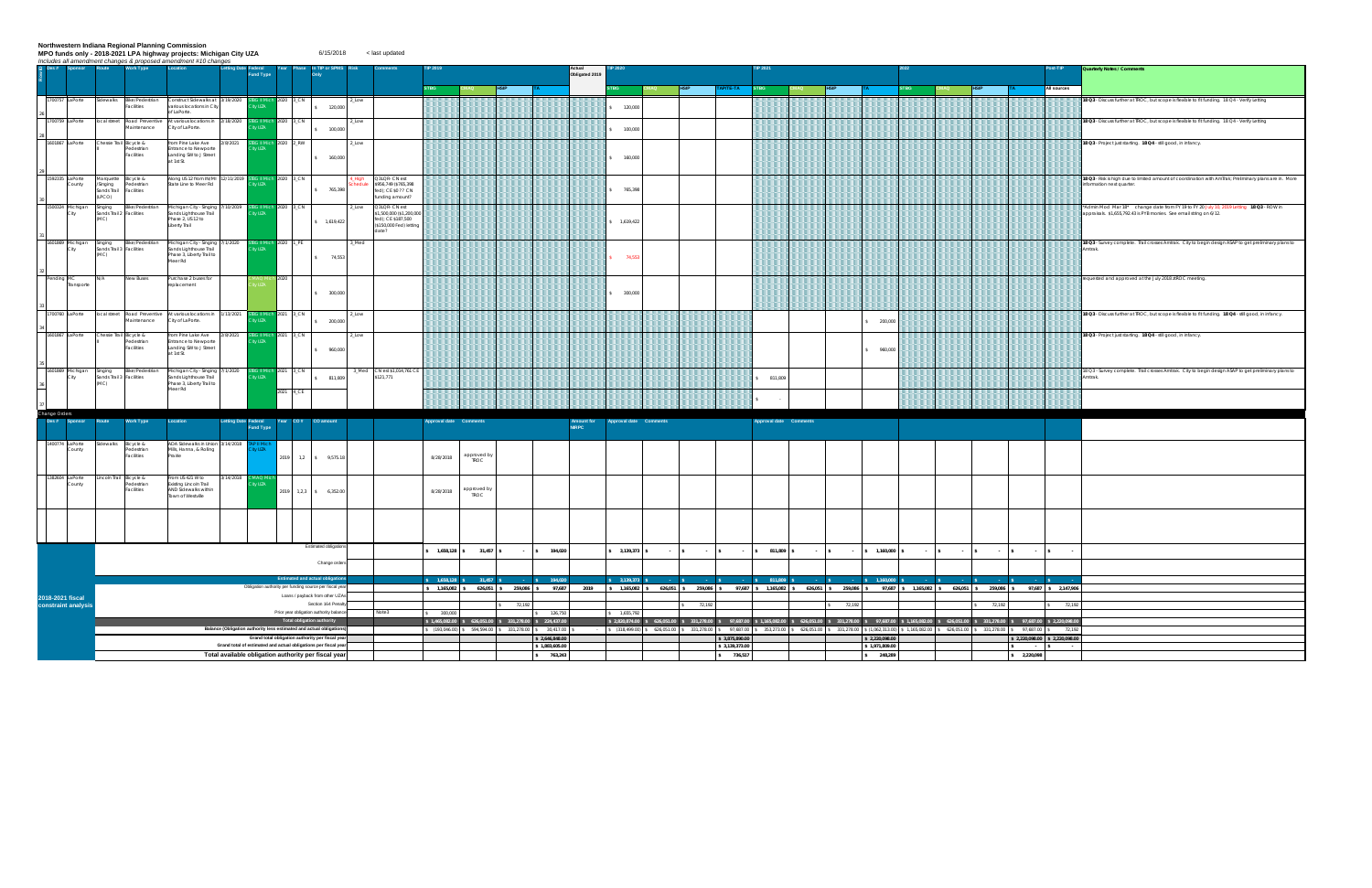Northwestern Indiana Regional Planning Commission<br>MPO funds only - 2018-2021 LPA highway projects: Michigan City UZA<br>*Includes all amendment changes & proposed amendment #10 changes*  $6/15/2018$  < last updated

|                                                                                  | <b>Sponsor</b>            |     | <u>Includes all amendment changes &amp; proposed amendment #10 changes</u><br>Route<br><b>Work Type</b> | Location                                                                                | <b>Letting Date Federal</b> |                             | Year                                                                                                                  | <b>Phase</b> In TIP or SPMS                                     |       |                                                             |                        |                     |                                                           |                | ctual          |                        |           |                  |                                                                                                                                                                                         |                 |                        |                               | ost-TIP     | Quarterly Notes / Comments                                                                                     |
|----------------------------------------------------------------------------------|---------------------------|-----|---------------------------------------------------------------------------------------------------------|-----------------------------------------------------------------------------------------|-----------------------------|-----------------------------|-----------------------------------------------------------------------------------------------------------------------|-----------------------------------------------------------------|-------|-------------------------------------------------------------|------------------------|---------------------|-----------------------------------------------------------|----------------|----------------|------------------------|-----------|------------------|-----------------------------------------------------------------------------------------------------------------------------------------------------------------------------------------|-----------------|------------------------|-------------------------------|-------------|----------------------------------------------------------------------------------------------------------------|
| $\frac{1}{2}$ Des #                                                              |                           |     |                                                                                                         |                                                                                         |                             | und Type                    |                                                                                                                       |                                                                 |       |                                                             |                        |                     |                                                           |                | Obligated 2019 |                        |           |                  |                                                                                                                                                                                         |                 |                        |                               |             |                                                                                                                |
|                                                                                  |                           |     |                                                                                                         |                                                                                         |                             |                             |                                                                                                                       |                                                                 |       |                                                             |                        |                     |                                                           |                |                |                        |           | АР/ТЕ-ТА         |                                                                                                                                                                                         |                 |                        |                               | All sources |                                                                                                                |
|                                                                                  | 1700757 LaPorte           |     | Sidewalks<br>Bike/Pedestrian<br>Facilities                                                              | Construct Sidewalks at 3/19/2020<br>various locations in City<br>of LaPorte.            |                             | ty UZA                      | BG II Mich 2020 3_CN                                                                                                  | 120,000                                                         | 2_Low |                                                             |                        |                     |                                                           |                |                | 120,000                |           |                  |                                                                                                                                                                                         |                 |                        |                               |             | 18 Q3 - Discuss further at TROC, but scope is flexible to fit funding. 18 Q4 - Verify Letting                  |
|                                                                                  | 1700759 LaPorte           |     | local street Road Preventive At various locations in 2/18/2020                                          |                                                                                         |                             | <b>3G II Micl</b>           | 2020 3_CN                                                                                                             |                                                                 | 2 Low |                                                             |                        |                     |                                                           |                |                |                        |           |                  |                                                                                                                                                                                         |                 |                        |                               |             | 18 Q3 - Discuss further at TROC, but scope is flexible to fit funding. 18 Q4 - Verify Letting                  |
|                                                                                  |                           |     | Maintenance                                                                                             | City of LaPorte.                                                                        |                             | y UZA                       |                                                                                                                       | 100,000                                                         |       |                                                             |                        |                     |                                                           |                |                | 100,000                |           |                  |                                                                                                                                                                                         |                 |                        |                               |             |                                                                                                                |
|                                                                                  | 1601867 LaPorte           |     | Chessie Trail Bicycle &<br>Pedestrian                                                                   | from Pine Lake Ave<br>Entrance to Newporte                                              | 2/8/2021                    | <b>BG II Mich</b><br>ty UZA | 2020 2_RW                                                                                                             |                                                                 | 2_Low |                                                             |                        |                     |                                                           |                |                |                        |           |                  |                                                                                                                                                                                         |                 |                        |                               |             | 18 Q3 - Project just starting. 18 Q4 - still good, in infancy.                                                 |
|                                                                                  |                           |     | Facilities                                                                                              | Landing SW to J Street<br>at 1st St.                                                    |                             |                             |                                                                                                                       | 160,000                                                         |       |                                                             |                        |                     |                                                           |                |                | 160,000                |           |                  |                                                                                                                                                                                         |                 |                        |                               |             |                                                                                                                |
|                                                                                  | 1592335 LaPorte           |     | Marquette Bicycle &                                                                                     | Along US 12 from IN/MI 12/11/2019                                                       |                             |                             | <b>BG II Mich 2020 3_CN</b>                                                                                           |                                                                 |       | 3LQR- CN est                                                |                        |                     |                                                           |                |                |                        |           |                  |                                                                                                                                                                                         |                 |                        |                               |             | 18 Q3 - Risk is high due to limited amount of coordination with AmTrak; Preliminary plans are in. More         |
|                                                                                  | County                    |     | Singing<br>Pedestrian<br>Sands Trail Facilities<br>(LPCO)                                               | State Line to Meer Rd                                                                   |                             | V UZA                       |                                                                                                                       | 765,398                                                         |       | \$956,749 (\$765,398<br>ed): CE \$0 ?? CN<br>unding amount? |                        |                     |                                                           |                |                | 765,398                |           |                  |                                                                                                                                                                                         |                 |                        |                               |             | nformation next quarter.                                                                                       |
| $\begin{array}{ c c c }\n\hline\n & 30 & \text{Michigan} \\ \hline\n\end{array}$ |                           |     | <b>Bike/Pedestrian</b><br>Singing                                                                       | Michigan City - Singing 7/10/2019                                                       |                             |                             | <b>IBG II Mich 2020 3_CN</b>                                                                                          |                                                                 | _LOW  | 23LQR- CN est                                               |                        |                     |                                                           |                |                |                        |           |                  |                                                                                                                                                                                         |                 |                        |                               |             | Admin Mod Mar 18* change date from FY 19 to FY 20 July 10, 2019 Letting 18 Q3 - ROW in                         |
|                                                                                  | City                      |     | Sands Trail 2 Facilities<br>(MC)                                                                        | Sands Lighthouse Trail<br>Phase 2, US 12 to                                             |                             | ity UZA                     |                                                                                                                       |                                                                 |       | 1,500,000 (\$1,200,00<br>ed); CE \$187,500                  |                        |                     |                                                           |                |                |                        |           |                  |                                                                                                                                                                                         |                 |                        |                               |             | appraisals. \$1,655,792.43 is PYB monies. See email string on 6/12.                                            |
|                                                                                  |                           |     |                                                                                                         | Liberty Trail                                                                           |                             |                             |                                                                                                                       | \$ 1,619,422                                                    |       | \$150,000 Fed) letting                                      |                        |                     |                                                           |                |                | 1,619,422              |           |                  |                                                                                                                                                                                         |                 |                        |                               |             |                                                                                                                |
|                                                                                  | 1601869 Michigan          |     | Bike/Pedestrian<br>Singing                                                                              | Michigan City - Singing 7/1/2020                                                        |                             | <b>3G II Micl</b>           | 2020 1_PE                                                                                                             |                                                                 | 3_Med |                                                             |                        |                     |                                                           |                |                |                        |           |                  |                                                                                                                                                                                         |                 |                        |                               |             | 18 Q3 - Survey complete. Trail crosses Amtrak. City to begin design ASAP to get preliminary plans to           |
|                                                                                  | City                      |     | Sands Trail 3 Facilities<br>(MC)                                                                        | Sands Lighthouse Trail<br>Phase 3, Liberty Trail to                                     |                             | ty UZA                      |                                                                                                                       | 74,553                                                          |       |                                                             |                        |                     |                                                           |                |                | 74,553                 |           |                  |                                                                                                                                                                                         |                 |                        |                               |             | Amtrak.                                                                                                        |
|                                                                                  |                           |     |                                                                                                         | Meer Rd                                                                                 |                             |                             |                                                                                                                       |                                                                 |       |                                                             |                        |                     |                                                           |                |                |                        |           |                  |                                                                                                                                                                                         |                 |                        |                               |             |                                                                                                                |
| $Pending$ MC                                                                     |                           | N/A | New Buses                                                                                               | Purchase 2 buses for                                                                    |                             |                             | $h$ 2020                                                                                                              |                                                                 |       |                                                             |                        |                     |                                                           |                |                |                        |           |                  |                                                                                                                                                                                         |                 |                        |                               |             | requested and approved at the July 2018 ztROC meeting.                                                         |
|                                                                                  | Transporte                |     |                                                                                                         | replacement                                                                             |                             |                             |                                                                                                                       | \$ 300,000                                                      |       |                                                             |                        |                     |                                                           |                |                | 300,000                |           |                  |                                                                                                                                                                                         |                 |                        |                               |             |                                                                                                                |
|                                                                                  |                           |     |                                                                                                         |                                                                                         |                             |                             |                                                                                                                       |                                                                 |       |                                                             |                        |                     |                                                           |                |                |                        |           |                  |                                                                                                                                                                                         |                 |                        |                               |             |                                                                                                                |
|                                                                                  | 1700760 LaPorte           |     | local street Road Preventive At various locations in 1/13/2021                                          |                                                                                         |                             |                             | 2021 3_CN                                                                                                             |                                                                 | 2_Low |                                                             |                        |                     |                                                           |                |                |                        |           |                  |                                                                                                                                                                                         |                 |                        |                               |             | 18 Q3 - Discuss further at TROC, but scope is flexible to fit funding. 18 Q4 - still good, in infancy.         |
|                                                                                  |                           |     | Maintenance                                                                                             | City of LaPorte.                                                                        |                             | y UZA                       |                                                                                                                       | 200,000                                                         |       |                                                             |                        |                     |                                                           |                |                |                        |           |                  |                                                                                                                                                                                         | 200,000         |                        |                               |             |                                                                                                                |
|                                                                                  | 1601867 LaPorte           |     | Chessie Trail Bicycle &<br>Pedestrian                                                                   | from Pine Lake Ave<br>Entrance to Newporte                                              | 2/8/2021                    | 3G II Micl<br>ty UZA        | 2021 3_CN                                                                                                             |                                                                 | 2_Low |                                                             |                        |                     |                                                           |                |                |                        |           |                  |                                                                                                                                                                                         |                 |                        |                               |             | 18 Q3 - Project just starting. 18 Q4 - still good, in infancy.                                                 |
|                                                                                  |                           |     | Facilities                                                                                              | Landing SW to J Street<br>at 1st St.                                                    |                             |                             |                                                                                                                       | 960,000                                                         |       |                                                             |                        |                     |                                                           |                |                |                        |           |                  |                                                                                                                                                                                         | \$960,000       |                        |                               |             |                                                                                                                |
|                                                                                  |                           |     |                                                                                                         |                                                                                         |                             |                             |                                                                                                                       |                                                                 |       |                                                             |                        |                     |                                                           |                |                |                        |           |                  |                                                                                                                                                                                         |                 |                        |                               |             |                                                                                                                |
|                                                                                  | 1601869 Michigan<br>City  |     | <b>Bike/Pedestrian</b><br>Singing<br>Sands Trail 3 Facilities<br>(MC)                                   | Michigan City - Singing 7/1/2020<br>Sands Lighthouse Trail<br>Phase 3, Liberty Trail to |                             | ity UZA                     | <b>BG II Mich 2021 3_CN</b>                                                                                           | \$ 811,809                                                      | 3_Med | CN est \$1,014,761 CE<br>\$121,771                          |                        |                     |                                                           |                |                |                        |           |                  | 811,809                                                                                                                                                                                 |                 |                        |                               |             | 8 Q3 - Survey complete. Trail crosses Amtrak. City to begin design ASAP to get preliminary plans to<br>Amtrak. |
| $\frac{36}{1}$                                                                   |                           |     |                                                                                                         | Meer Rd                                                                                 |                             |                             | 2021 4_CE                                                                                                             |                                                                 |       |                                                             |                        |                     |                                                           |                |                |                        |           |                  |                                                                                                                                                                                         |                 |                        |                               |             |                                                                                                                |
|                                                                                  |                           |     |                                                                                                         |                                                                                         |                             |                             |                                                                                                                       |                                                                 |       |                                                             |                        |                     |                                                           |                |                |                        |           |                  |                                                                                                                                                                                         |                 |                        |                               |             |                                                                                                                |
| Change Orders<br>Des#                                                            |                           |     | atuos<br><b>Work Type</b>                                                                               | Location                                                                                | <b>Letting Date Federal</b> |                             | Year CO#                                                                                                              | CO amoun                                                        |       |                                                             | Approval date Comments |                     |                                                           |                | Amount for     | Approval date Comments |           |                  | Approval date Comments                                                                                                                                                                  |                 |                        |                               |             |                                                                                                                |
|                                                                                  |                           |     |                                                                                                         |                                                                                         |                             | <b>Fund Type</b>            |                                                                                                                       |                                                                 |       |                                                             |                        |                     |                                                           |                |                |                        |           |                  |                                                                                                                                                                                         |                 |                        |                               |             |                                                                                                                |
|                                                                                  | 1400774 LaPorte<br>County |     | dewalks<br>Bicycle &<br>edestrian                                                                       | ADA Sidewalks in Union 3/14/2018<br>Mills, Hanna, & Rolling                             |                             | y UZA                       |                                                                                                                       |                                                                 |       |                                                             |                        |                     |                                                           |                |                |                        |           |                  |                                                                                                                                                                                         |                 |                        |                               |             |                                                                                                                |
|                                                                                  |                           |     | Facilities                                                                                              | Prairie                                                                                 |                             |                             | 2019                                                                                                                  | 1,2 \$ 9,575.18                                                 |       |                                                             | 8/28/2018              | approved by<br>TROC |                                                           |                |                |                        |           |                  |                                                                                                                                                                                         |                 |                        |                               |             |                                                                                                                |
|                                                                                  |                           |     |                                                                                                         |                                                                                         |                             |                             |                                                                                                                       |                                                                 |       |                                                             |                        |                     |                                                           |                |                |                        |           |                  |                                                                                                                                                                                         |                 |                        |                               |             |                                                                                                                |
|                                                                                  | 1382604 LaPorte<br>County |     | incoln Trail Bicycle &<br>lestrian                                                                      | From US 421 W to<br>Existing Lincoln Trail                                              | 3/14/2018                   | vin Oan<br>y UZA            |                                                                                                                       |                                                                 |       |                                                             |                        | approved by         |                                                           |                |                |                        |           |                  |                                                                                                                                                                                         |                 |                        |                               |             |                                                                                                                |
|                                                                                  |                           |     | Facilities                                                                                              | AND Sidewalks within<br>Town of Westville                                               |                             |                             |                                                                                                                       | 2019 1,2,3 \$ 6,352.00                                          |       |                                                             | 8/28/2018              | TROC                |                                                           |                |                |                        |           |                  |                                                                                                                                                                                         |                 |                        |                               |             |                                                                                                                |
|                                                                                  |                           |     |                                                                                                         |                                                                                         |                             |                             |                                                                                                                       |                                                                 |       |                                                             |                        |                     |                                                           |                |                |                        |           |                  |                                                                                                                                                                                         |                 |                        |                               |             |                                                                                                                |
|                                                                                  |                           |     |                                                                                                         |                                                                                         |                             |                             |                                                                                                                       |                                                                 |       |                                                             |                        |                     |                                                           |                |                |                        |           |                  |                                                                                                                                                                                         |                 |                        |                               |             |                                                                                                                |
|                                                                                  |                           |     |                                                                                                         |                                                                                         |                             |                             |                                                                                                                       |                                                                 |       |                                                             |                        |                     |                                                           |                |                |                        |           |                  |                                                                                                                                                                                         |                 |                        |                               |             |                                                                                                                |
|                                                                                  |                           |     |                                                                                                         |                                                                                         |                             |                             |                                                                                                                       | Estimated obligations                                           |       |                                                             | 1,658,128 \$           |                     | 31,457 \$<br>$\sim$                                       | \$ 194,020     |                | 3,139,373 \$           | $-5$ $-5$ | $\sim$ 100 $\pm$ | 811,809 \$<br>$ S$<br>$\sim 100$                                                                                                                                                        | $$7,160,000$ \$ | $-5$<br>$\sim 10^{-1}$ | $\sqrt{S}$<br>$\sim$          |             |                                                                                                                |
|                                                                                  |                           |     |                                                                                                         |                                                                                         |                             |                             |                                                                                                                       | Change orders                                                   |       |                                                             |                        |                     |                                                           |                |                |                        |           |                  |                                                                                                                                                                                         |                 |                        |                               |             |                                                                                                                |
|                                                                                  |                           |     |                                                                                                         |                                                                                         |                             |                             | <b>Estimated and actual obligatio</b>                                                                                 |                                                                 |       |                                                             | $1,658,128$ \$         |                     | $31,457$ \$                                               | 194,020        |                | 3,139,373              |           |                  | 811,809 \$                                                                                                                                                                              | \$ 1.160,000    |                        |                               |             |                                                                                                                |
|                                                                                  |                           |     |                                                                                                         |                                                                                         |                             |                             |                                                                                                                       | Obligation authority per funding source per fiscal year         |       |                                                             |                        |                     | \$1,165,082 \$626,051 \$259,086 \$97,687                  |                | 2019           |                        |           |                  | \$ 1,165,082 \$ 626,051 \$ 259,086 \$ 97,687 \$ 1,165,082 \$ 626,051 \$ 259,086 \$ 97,687 \$ 1,165,082 \$ 626,051 \$ 259,086 \$ 97,687 \$ 2,147,906                                     |                 |                        |                               |             |                                                                                                                |
|                                                                                  | 2018-2021 fiscal          |     |                                                                                                         |                                                                                         |                             |                             |                                                                                                                       | Loans / payback from other UZAs<br>Section 164 Penalt           |       |                                                             |                        |                     |                                                           |                |                |                        | 72,192    |                  | 72,192                                                                                                                                                                                  |                 |                        |                               |             |                                                                                                                |
|                                                                                  | constraint analysis       |     |                                                                                                         |                                                                                         |                             |                             | Prior year obligation authority balan                                                                                 |                                                                 |       | ote3                                                        | 300,000                |                     | 72,192                                                    | \$ 126,750     |                | 1,655,792              |           |                  |                                                                                                                                                                                         |                 |                        | 72,192                        | 72,192      |                                                                                                                |
|                                                                                  |                           |     |                                                                                                         |                                                                                         |                             |                             | Total obligation authority                                                                                            |                                                                 |       |                                                             |                        |                     | $$1,465,082.00$ $$626,051.00$ $$331,278.00$ $$224,437.00$ |                |                |                        |           |                  | \$2,820,874.00 \$626,051.00 \$331,278.00 \$97,687.00 \$1,165,082.00 \$626,051.00 \$331,278.00 \$97,687.00 \$1,165,082.00 \$626,051.00 \$331,278.00 \$97,687.00 \$32,220,098.00          |                 |                        |                               |             |                                                                                                                |
|                                                                                  |                           |     |                                                                                                         |                                                                                         |                             |                             | Balance (Obligation authority less estimated and actual obligation<br>Grand total obligation authority per fiscal yea |                                                                 |       |                                                             |                        |                     | \$ (193,046.00) \$ 594,594.00 \$ 331,278.00 \$ 30,417.00  | \$2,646,848.00 |                |                        |           | \$3,875,890.00   | \$ (318,499.00) \$ 626,051.00 \$ 331,278.00 \$ 97,687.00 \$ 353,273.00 \$ 626,051.00 \$ 331,278.00 \$ (1,062,313.00) \$ 1,165,082.00 \$ 626,051.00 \$ 331,278.00 \$ 97,687.00 \$ 72,192 | \$2,220,098.00  |                        | \$2,220,098.00 \$2,220,098.00 |             |                                                                                                                |
|                                                                                  |                           |     |                                                                                                         |                                                                                         |                             |                             |                                                                                                                       | Grand total of estimated and actual obligations per fiscal year |       |                                                             |                        |                     |                                                           | \$1,883,605.00 |                |                        |           | \$3,139,373.00   |                                                                                                                                                                                         | \$1,971,809.00  |                        | $\sim$                        |             |                                                                                                                |
|                                                                                  |                           |     |                                                                                                         |                                                                                         |                             |                             |                                                                                                                       | Total available obligation authority per fiscal year            |       |                                                             |                        |                     |                                                           | \$763,243      |                |                        |           | \$ 736,517       |                                                                                                                                                                                         | \$248,289       |                        | \$2,220,098                   |             |                                                                                                                |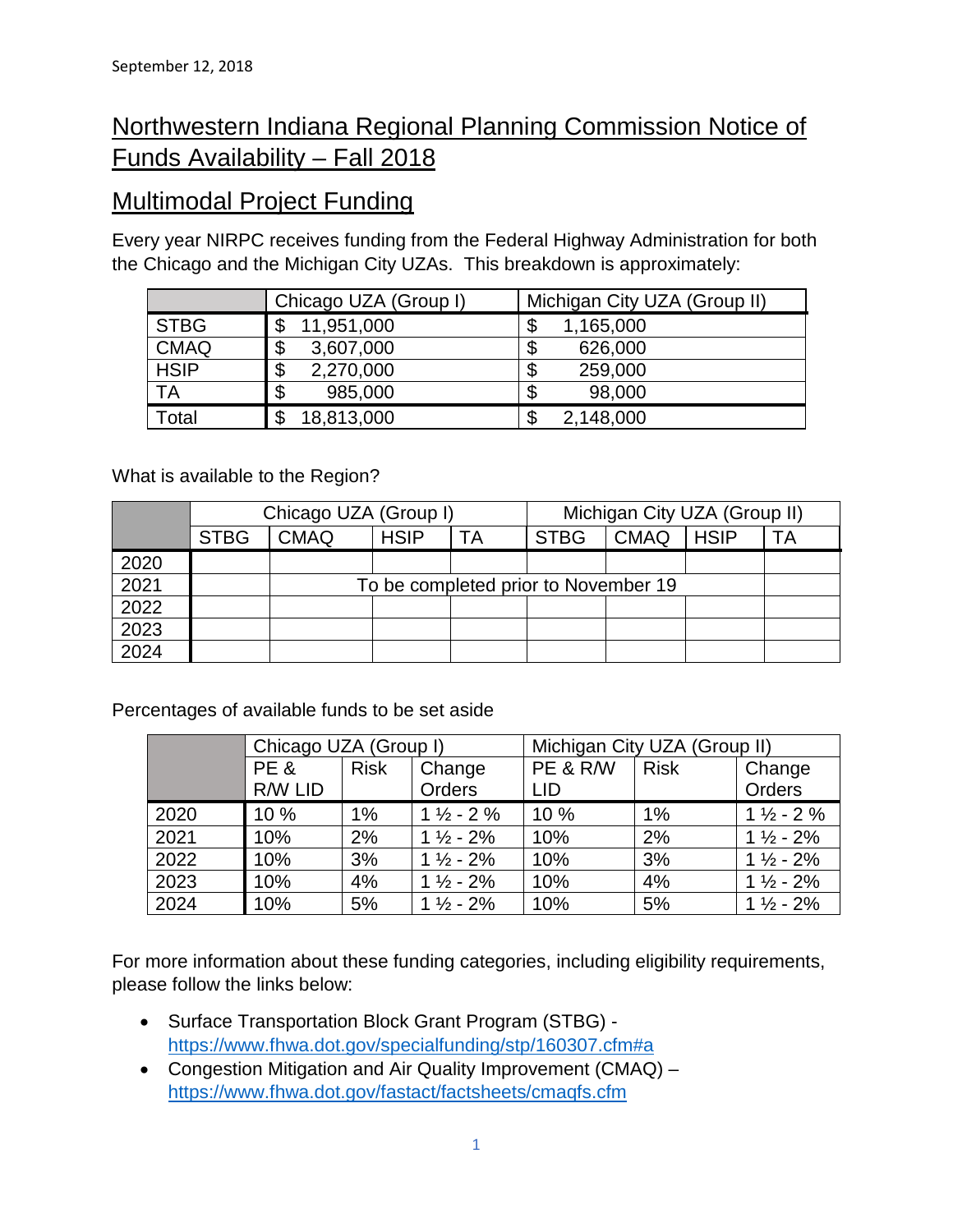# Northwestern Indiana Regional Planning Commission Notice of Funds Availability – Fall 2018

## Multimodal Project Funding

Every year NIRPC receives funding from the Federal Highway Administration for both the Chicago and the Michigan City UZAs. This breakdown is approximately:

|             | Chicago UZA (Group I) | Michigan City UZA (Group II) |
|-------------|-----------------------|------------------------------|
| <b>STBG</b> | 11,951,000<br>\$      | \$<br>1,165,000              |
| <b>CMAQ</b> | \$<br>3,607,000       | \$<br>626,000                |
| <b>HSIP</b> | \$<br>2,270,000       | \$<br>259,000                |
| <b>TA</b>   | \$<br>985,000         | 98,000<br>ጥ<br>Ф             |
| Γotal       | 18,813,000            | 2,148,000                    |

What is available to the Region?

|      |             | Chicago UZA (Group I) |             | Michigan City UZA (Group II) |                                      |             |             |    |  |
|------|-------------|-----------------------|-------------|------------------------------|--------------------------------------|-------------|-------------|----|--|
|      | <b>STBG</b> | <b>CMAQ</b>           | <b>HSIP</b> | ТA                           | <b>STBG</b>                          | <b>CMAQ</b> | <b>HSIP</b> | ТA |  |
| 2020 |             |                       |             |                              |                                      |             |             |    |  |
| 2021 |             |                       |             |                              | To be completed prior to November 19 |             |             |    |  |
| 2022 |             |                       |             |                              |                                      |             |             |    |  |
| 2023 |             |                       |             |                              |                                      |             |             |    |  |
| 2024 |             |                       |             |                              |                                      |             |             |    |  |

Percentages of available funds to be set aside

|      | Chicago UZA (Group I) |             |                      | Michigan City UZA (Group II) |             |                      |  |  |  |
|------|-----------------------|-------------|----------------------|------------------------------|-------------|----------------------|--|--|--|
|      | PE&                   | <b>Risk</b> | Change               | PE & R/W                     | <b>Risk</b> | Change               |  |  |  |
|      | R/W LID               |             | Orders               | <b>LID</b>                   |             | <b>Orders</b>        |  |  |  |
| 2020 | 10 %                  | 1%          | $1\frac{1}{2}$ - 2 % | 10 %                         | 1%          | $1\frac{1}{2}$ - 2 % |  |  |  |
| 2021 | 10%                   | 2%          | $1\frac{1}{2}$ - 2%  | 10%                          | 2%          | $1\frac{1}{2}$ - 2%  |  |  |  |
| 2022 | 10%                   | 3%          | $1\frac{1}{2}$ - 2%  | 10%                          | 3%          | $1\frac{1}{2}$ - 2%  |  |  |  |
| 2023 | 10%                   | 4%          | $1\frac{1}{2}$ - 2%  | 10%                          | 4%          | $1\frac{1}{2}$ - 2%  |  |  |  |
| 2024 | 10%                   | 5%          | $1\frac{1}{2}$ - 2%  | 10%                          | 5%          | $1\frac{1}{2}$ - 2%  |  |  |  |

For more information about these funding categories, including eligibility requirements, please follow the links below:

- Surface Transportation Block Grant Program (STBG) <https://www.fhwa.dot.gov/specialfunding/stp/160307.cfm#a>
- Congestion Mitigation and Air Quality Improvement (CMAQ) <https://www.fhwa.dot.gov/fastact/factsheets/cmaqfs.cfm>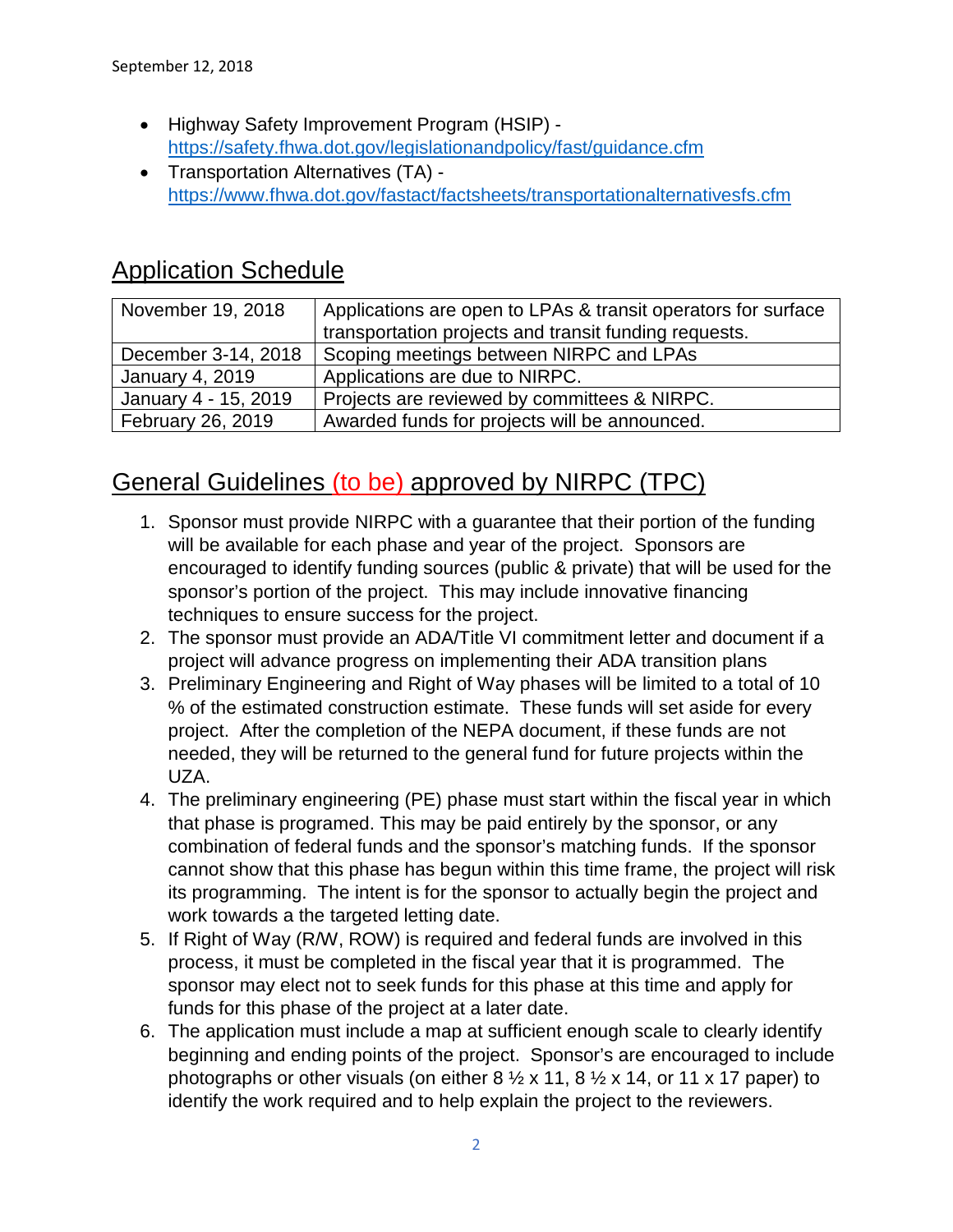- Highway Safety Improvement Program (HSIP) <https://safety.fhwa.dot.gov/legislationandpolicy/fast/guidance.cfm>
- Transportation Alternatives (TA) <https://www.fhwa.dot.gov/fastact/factsheets/transportationalternativesfs.cfm>

# Application Schedule

| November 19, 2018    | Applications are open to LPAs & transit operators for surface |
|----------------------|---------------------------------------------------------------|
|                      | transportation projects and transit funding requests.         |
| December 3-14, 2018  | Scoping meetings between NIRPC and LPAs                       |
| January 4, 2019      | Applications are due to NIRPC.                                |
| January 4 - 15, 2019 | Projects are reviewed by committees & NIRPC.                  |
| February 26, 2019    | Awarded funds for projects will be announced.                 |

# General Guidelines (to be) approved by NIRPC (TPC)

- 1. Sponsor must provide NIRPC with a guarantee that their portion of the funding will be available for each phase and year of the project. Sponsors are encouraged to identify funding sources (public & private) that will be used for the sponsor's portion of the project. This may include innovative financing techniques to ensure success for the project.
- 2. The sponsor must provide an ADA/Title VI commitment letter and document if a project will advance progress on implementing their ADA transition plans
- 3. Preliminary Engineering and Right of Way phases will be limited to a total of 10 % of the estimated construction estimate. These funds will set aside for every project. After the completion of the NEPA document, if these funds are not needed, they will be returned to the general fund for future projects within the UZA.
- 4. The preliminary engineering (PE) phase must start within the fiscal year in which that phase is programed. This may be paid entirely by the sponsor, or any combination of federal funds and the sponsor's matching funds. If the sponsor cannot show that this phase has begun within this time frame, the project will risk its programming. The intent is for the sponsor to actually begin the project and work towards a the targeted letting date.
- 5. If Right of Way (R/W, ROW) is required and federal funds are involved in this process, it must be completed in the fiscal year that it is programmed. The sponsor may elect not to seek funds for this phase at this time and apply for funds for this phase of the project at a later date.
- 6. The application must include a map at sufficient enough scale to clearly identify beginning and ending points of the project. Sponsor's are encouraged to include photographs or other visuals (on either  $8\frac{1}{2} \times 11$ ,  $8\frac{1}{2} \times 14$ , or 11 x 17 paper) to identify the work required and to help explain the project to the reviewers.